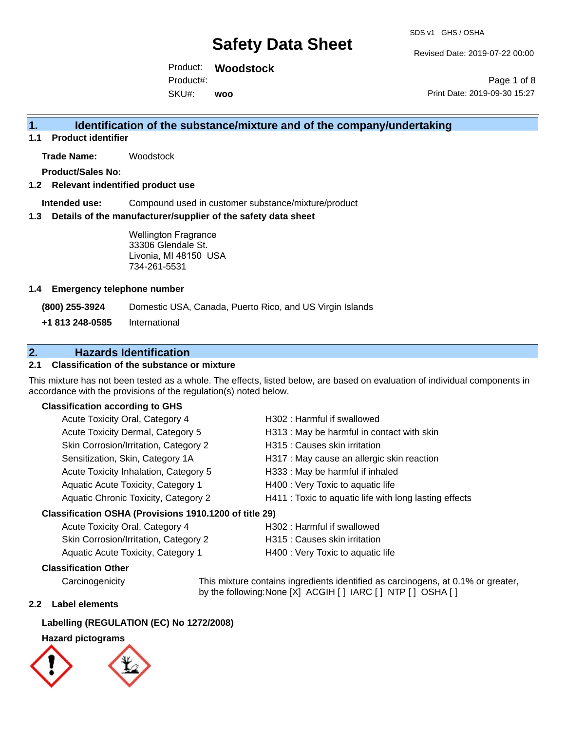Revised Date: 2019-07-22 00:00

Product: **Woodstock**  Product#:

SKU#: **woo**

Page 1 of 8 Print Date: 2019-09-30 15:27

# **1. Identification of the substance/mixture and of the company/undertaking**

**1.1 Product identifier**

**Trade Name:** Woodstock

**Product/Sales No:**

# **1.2 Relevant indentified product use**

**Intended use:** Compound used in customer substance/mixture/product

# **1.3 Details of the manufacturer/supplier of the safety data sheet**

Wellington Fragrance 33306 Glendale St. Livonia, MI 48150 USA 734-261-5531

# **1.4 Emergency telephone number**

**(800) 255-3924** Domestic USA, Canada, Puerto Rico, and US Virgin Islands

**+1 813 248-0585** International

# **2. Hazards Identification**

# **2.1 Classification of the substance or mixture**

This mixture has not been tested as a whole. The effects, listed below, are based on evaluation of individual components in accordance with the provisions of the regulation(s) noted below.

# **Classification according to GHS**

| Acute Toxicity Oral, Category 4                      | H302: Harmful if swallowed                             |  |  |
|------------------------------------------------------|--------------------------------------------------------|--|--|
| Acute Toxicity Dermal, Category 5                    | H313 : May be harmful in contact with skin             |  |  |
| Skin Corrosion/Irritation, Category 2                | H315 : Causes skin irritation                          |  |  |
| Sensitization, Skin, Category 1A                     | H317 : May cause an allergic skin reaction             |  |  |
| Acute Toxicity Inhalation, Category 5                | H333: May be harmful if inhaled                        |  |  |
| Aquatic Acute Toxicity, Category 1                   | H400 : Very Toxic to aquatic life                      |  |  |
| Aquatic Chronic Toxicity, Category 2                 | H411 : Toxic to aquatic life with long lasting effects |  |  |
| issification OSHA (Provisions 1910 1200 of title 29) |                                                        |  |  |

# **Classification OSHA (Provisions 1910.1200 of title 29)**

| Acute Toxicity Oral, Category 4       | H302 : Harmful if swallowed       |
|---------------------------------------|-----------------------------------|
| Skin Corrosion/Irritation, Category 2 | H315 : Causes skin irritation     |
| Aquatic Acute Toxicity, Category 1    | H400 : Very Toxic to aquatic life |

# **Classification Other**

Carcinogenicity This mixture contains ingredients identified as carcinogens, at 0.1% or greater, by the following:None [X] ACGIH [ ] IARC [ ] NTP [ ] OSHA [ ]

# **2.2 Label elements**

# **Labelling (REGULATION (EC) No 1272/2008)**

# **Hazard pictograms**

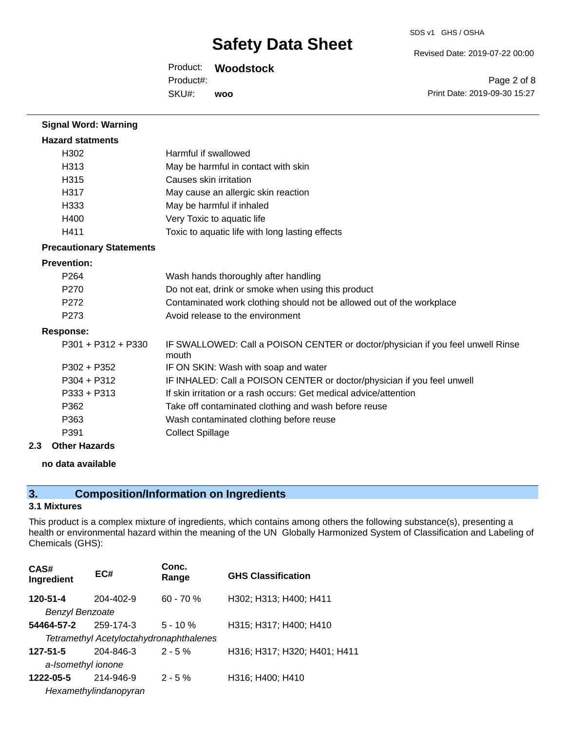Revised Date: 2019-07-22 00:00

Product: **Woodstock** 

SKU#: Product#: **woo**

Page 2 of 8 Print Date: 2019-09-30 15:27

| Harmful if swallowed                                                                     |
|------------------------------------------------------------------------------------------|
| May be harmful in contact with skin                                                      |
| Causes skin irritation                                                                   |
| May cause an allergic skin reaction                                                      |
| May be harmful if inhaled                                                                |
| Very Toxic to aquatic life                                                               |
| Toxic to aquatic life with long lasting effects                                          |
|                                                                                          |
|                                                                                          |
| Wash hands thoroughly after handling                                                     |
| Do not eat, drink or smoke when using this product                                       |
| Contaminated work clothing should not be allowed out of the workplace                    |
| Avoid release to the environment                                                         |
|                                                                                          |
| IF SWALLOWED: Call a POISON CENTER or doctor/physician if you feel unwell Rinse<br>mouth |
| IF ON SKIN: Wash with soap and water                                                     |
| IF INHALED: Call a POISON CENTER or doctor/physician if you feel unwell                  |
| If skin irritation or a rash occurs: Get medical advice/attention                        |
| Take off contaminated clothing and wash before reuse                                     |
| Wash contaminated clothing before reuse                                                  |
| <b>Collect Spillage</b>                                                                  |
|                                                                                          |

#### **2.3 Other Hazards**

**no data available**

# **3. Composition/Information on Ingredients**

# **3.1 Mixtures**

This product is a complex mixture of ingredients, which contains among others the following substance(s), presenting a health or environmental hazard within the meaning of the UN Globally Harmonized System of Classification and Labeling of Chemicals (GHS):

| CAS#<br>Ingredient | EC#                                     | Conc.<br>Range | <b>GHS Classification</b>    |
|--------------------|-----------------------------------------|----------------|------------------------------|
| 120-51-4           | 204-402-9                               | $60 - 70%$     | H302; H313; H400; H411       |
| Benzyl Benzoate    |                                         |                |                              |
| 54464-57-2         | 259-174-3                               | $5 - 10 \%$    | H315; H317; H400; H410       |
|                    | Tetramethyl Acetyloctahydronaphthalenes |                |                              |
| $127 - 51 - 5$     | 204-846-3                               | $2 - 5%$       | H316; H317; H320; H401; H411 |
| a-Isomethyl ionone |                                         |                |                              |
| 1222-05-5          | 214-946-9                               | $2 - 5%$       | H316; H400; H410             |
|                    | Hexamethylindanopyran                   |                |                              |
|                    |                                         |                |                              |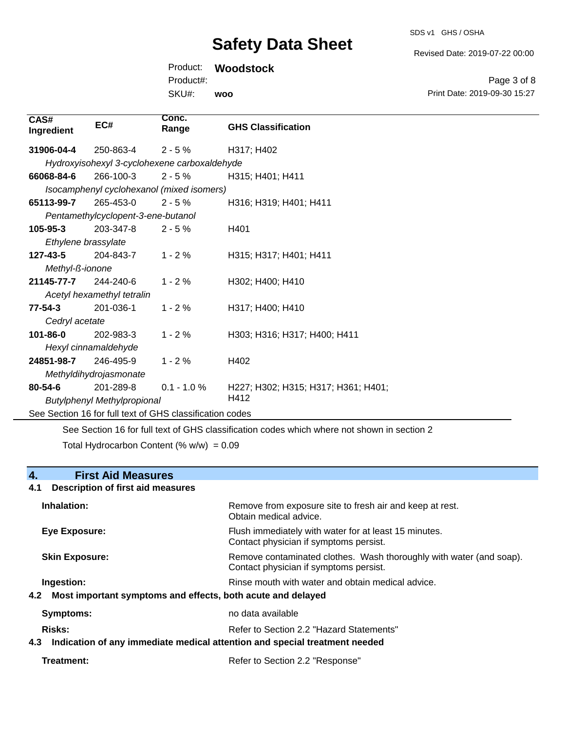Revised Date: 2019-07-22 00:00

Page 3 of 8

Product: **Woodstock**  Product#:

SKU#: **woo**

| $127 - 43 - 5$                                           |  | 204-843-7                  | $1 - 2%$       | H315; H317; H401; H411              |
|----------------------------------------------------------|--|----------------------------|----------------|-------------------------------------|
| Methyl-ß-ionone                                          |  |                            |                |                                     |
| 21145-77-7                                               |  | 244-240-6                  | $1 - 2%$       | H302; H400; H410                    |
|                                                          |  | Acetyl hexamethyl tetralin |                |                                     |
| 77-54-3                                                  |  | 201-036-1                  | $1 - 2\%$      | H317; H400; H410                    |
| Cedryl acetate                                           |  |                            |                |                                     |
| 101-86-0                                                 |  | 202-983-3                  | $1 - 2%$       | H303; H316; H317; H400; H411        |
| Hexyl cinnamaldehyde                                     |  |                            |                |                                     |
| 24851-98-7                                               |  | 246-495-9                  | $1 - 2%$       | H402                                |
| Methyldihydrojasmonate                                   |  |                            |                |                                     |
| $80 - 54 - 6$                                            |  | 201-289-8                  | $0.1 - 1.0 \%$ | H227; H302; H315; H317; H361; H401; |
| <b>Butylphenyl Methylpropional</b>                       |  |                            | H412           |                                     |
| See Section 16 for full text of GHS classification codes |  |                            |                |                                     |

See Section 16 for full text of GHS classification codes which where not shown in section 2 Total Hydrocarbon Content (%  $w/w$ ) = 0.09

# **4. First Aid Measures**

**CAS#**

31906-04-4

66068-84-6

**65113-99-7** 

105-95-3

**Ingredient EC#**

# **4.1 Description of first aid measures**

| Inhalation:                                                                      | Remove from exposure site to fresh air and keep at rest.<br>Obtain medical advice.                                     |
|----------------------------------------------------------------------------------|------------------------------------------------------------------------------------------------------------------------|
| <b>Eye Exposure:</b>                                                             | Flush immediately with water for at least 15 minutes.<br>Contact physician if symptoms persist.                        |
| <b>Skin Exposure:</b>                                                            | Remove contaminated clothes. Wash thoroughly with water (and soap).<br>Contact physician if symptoms persist.          |
| Ingestion:<br>Most important symptoms and effects, both acute and delayed<br>4.2 | Rinse mouth with water and obtain medical advice.                                                                      |
| Symptoms:                                                                        | no data available                                                                                                      |
| Risks:<br>4.3                                                                    | Refer to Section 2.2 "Hazard Statements"<br>Indication of any immediate medical attention and special treatment needed |
|                                                                                  |                                                                                                                        |

Treatment: Treatment: Treatment: Refer to Section 2.2 "Response"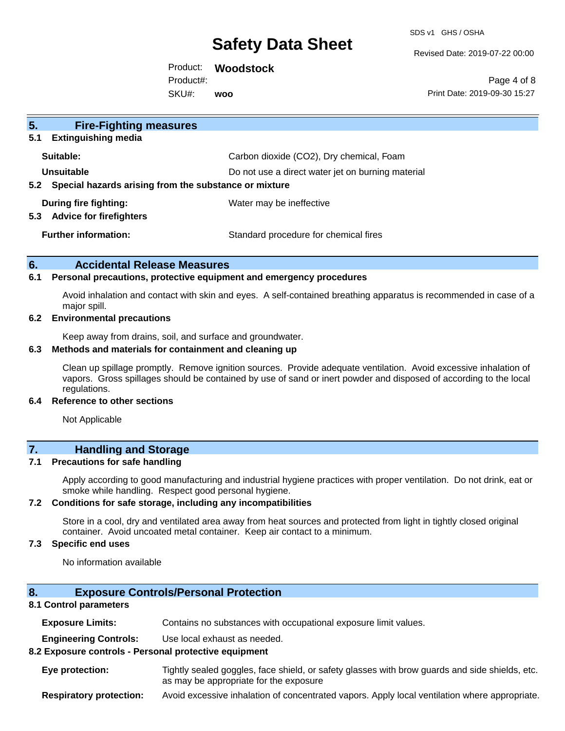SDS v1 GHS / OSHA

Revised Date: 2019-07-22 00:00

Product: **Woodstock**  SKU#: Product#: **woo**

Page 4 of 8 Print Date: 2019-09-30 15:27

| 5 <sub>1</sub><br><b>Fire-Fighting measures</b>                |                                                   |  |
|----------------------------------------------------------------|---------------------------------------------------|--|
| <b>Extinguishing media</b><br>5.1                              |                                                   |  |
| Suitable:                                                      | Carbon dioxide (CO2), Dry chemical, Foam          |  |
| Unsuitable                                                     | Do not use a direct water jet on burning material |  |
| 5.2 Special hazards arising from the substance or mixture      |                                                   |  |
| During fire fighting:<br><b>Advice for firefighters</b><br>5.3 | Water may be ineffective                          |  |
| <b>Further information:</b>                                    | Standard procedure for chemical fires             |  |

### **6. Accidental Release Measures**

#### **6.1 Personal precautions, protective equipment and emergency procedures**

Avoid inhalation and contact with skin and eyes. A self-contained breathing apparatus is recommended in case of a major spill.

# **6.2 Environmental precautions**

Keep away from drains, soil, and surface and groundwater.

#### **6.3 Methods and materials for containment and cleaning up**

Clean up spillage promptly. Remove ignition sources. Provide adequate ventilation. Avoid excessive inhalation of vapors. Gross spillages should be contained by use of sand or inert powder and disposed of according to the local regulations.

#### **6.4 Reference to other sections**

Not Applicable

# **7. Handling and Storage**

#### **7.1 Precautions for safe handling**

Apply according to good manufacturing and industrial hygiene practices with proper ventilation. Do not drink, eat or smoke while handling. Respect good personal hygiene.

#### **7.2 Conditions for safe storage, including any incompatibilities**

Store in a cool, dry and ventilated area away from heat sources and protected from light in tightly closed original container. Avoid uncoated metal container. Keep air contact to a minimum.

# **7.3 Specific end uses**

No information available

# **8. Exposure Controls/Personal Protection**

### **8.1 Control parameters**

**Exposure Limits:** Contains no substances with occupational exposure limit values.

**Engineering Controls:** Use local exhaust as needed.

#### **8.2 Exposure controls - Personal protective equipment**

**Eye protection:** Tightly sealed goggles, face shield, or safety glasses with brow guards and side shields, etc. as may be appropriate for the exposure

**Respiratory protection:** Avoid excessive inhalation of concentrated vapors. Apply local ventilation where appropriate.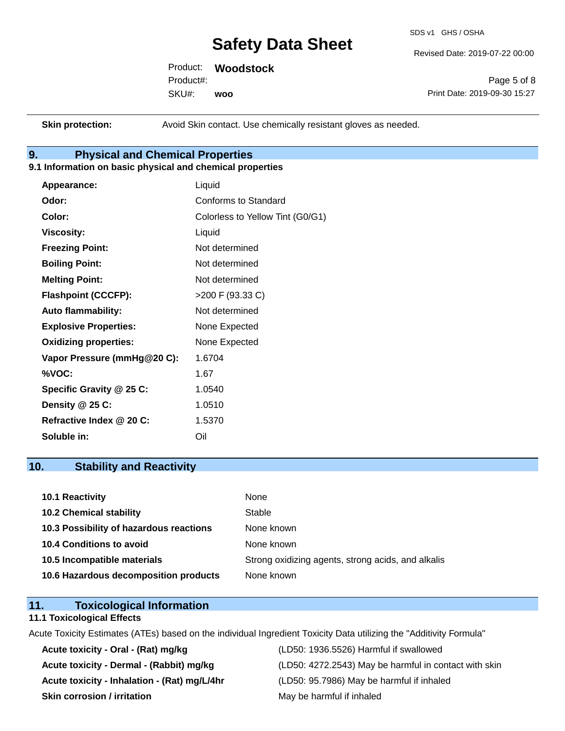SDS v1 GHS / OSHA

Revised Date: 2019-07-22 00:00

Product: **Woodstock**  SKU#: Product#: **woo**

Page 5 of 8 Print Date: 2019-09-30 15:27

**Skin protection:** Avoid Skin contact. Use chemically resistant gloves as needed.

# **9. Physical and Chemical Properties**

# **9.1 Information on basic physical and chemical properties**

| Appearance:                  | Liquid                           |
|------------------------------|----------------------------------|
| Odor:                        | Conforms to Standard             |
| Color:                       | Colorless to Yellow Tint (G0/G1) |
| <b>Viscosity:</b>            | Liquid                           |
| <b>Freezing Point:</b>       | Not determined                   |
| <b>Boiling Point:</b>        | Not determined                   |
| <b>Melting Point:</b>        | Not determined                   |
| <b>Flashpoint (CCCFP):</b>   | >200 F (93.33 C)                 |
| <b>Auto flammability:</b>    | Not determined                   |
| <b>Explosive Properties:</b> | None Expected                    |
| <b>Oxidizing properties:</b> | None Expected                    |
| Vapor Pressure (mmHg@20 C):  | 1.6704                           |
| %VOC:                        | 1.67                             |
| Specific Gravity @ 25 C:     | 1.0540                           |
| Density @ 25 C:              | 1.0510                           |
| Refractive Index @ 20 C:     | 1.5370                           |
| Soluble in:                  | Oil                              |

# **10. Stability and Reactivity**

| 10.1 Reactivity                         | None                                               |
|-----------------------------------------|----------------------------------------------------|
| <b>10.2 Chemical stability</b>          | Stable                                             |
| 10.3 Possibility of hazardous reactions | None known                                         |
| <b>10.4 Conditions to avoid</b>         | None known                                         |
| 10.5 Incompatible materials             | Strong oxidizing agents, strong acids, and alkalis |
| 10.6 Hazardous decomposition products   | None known                                         |

# **11. Toxicological Information**

#### **11.1 Toxicological Effects**

Acute Toxicity Estimates (ATEs) based on the individual Ingredient Toxicity Data utilizing the "Additivity Formula"

**Acute toxicity - Oral - (Rat) mg/kg** (LD50: 1936.5526) Harmful if swallowed **Acute toxicity - Inhalation - (Rat) mg/L/4hr** (LD50: 95.7986) May be harmful if inhaled **Skin corrosion / irritation** May be harmful if inhaled

Acute toxicity - Dermal - (Rabbit) mg/kg<br>
(LD50: 4272.2543) May be harmful in contact with skin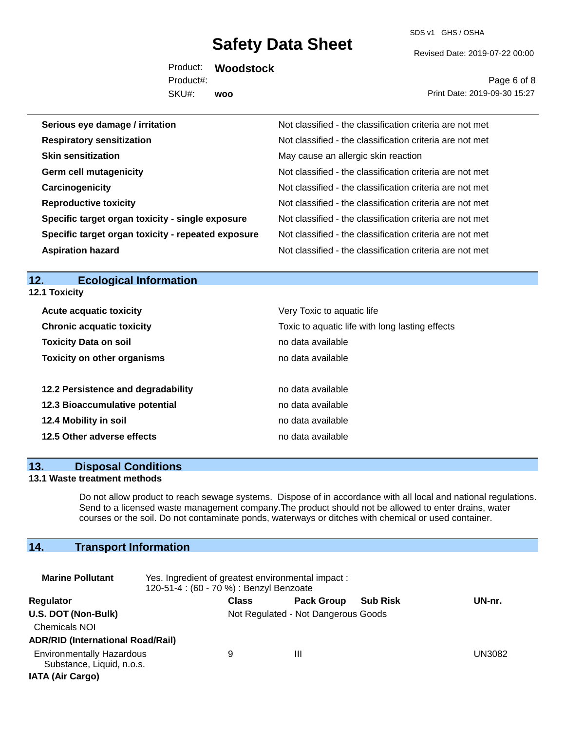SDS v1 GHS / OSHA

Revised Date: 2019-07-22 00:00

Product: **Woodstock**  SKU#: Product#: **woo**

Page 6 of 8 Print Date: 2019-09-30 15:27

| Serious eye damage / irritation                    | Not classified - the classification criteria are not met |
|----------------------------------------------------|----------------------------------------------------------|
| <b>Respiratory sensitization</b>                   | Not classified - the classification criteria are not met |
| <b>Skin sensitization</b>                          | May cause an allergic skin reaction                      |
| <b>Germ cell mutagenicity</b>                      | Not classified - the classification criteria are not met |
| Carcinogenicity                                    | Not classified - the classification criteria are not met |
| <b>Reproductive toxicity</b>                       | Not classified - the classification criteria are not met |
| Specific target organ toxicity - single exposure   | Not classified - the classification criteria are not met |
| Specific target organ toxicity - repeated exposure | Not classified - the classification criteria are not met |
| <b>Aspiration hazard</b>                           | Not classified - the classification criteria are not met |

# **12. Ecological Information**

**12.1 Toxicity**

| <b>Acute acquatic toxicity</b>     | Very Toxic to aquatic life                      |
|------------------------------------|-------------------------------------------------|
| <b>Chronic acquatic toxicity</b>   | Toxic to aquatic life with long lasting effects |
| <b>Toxicity Data on soil</b>       | no data available                               |
| <b>Toxicity on other organisms</b> | no data available                               |
|                                    |                                                 |
| 12.2 Persistence and degradability | no data available                               |
| 12.3 Bioaccumulative potential     | no data available                               |
| 12.4 Mobility in soil              | no data available                               |
| 12.5 Other adverse effects         | no data available                               |
|                                    |                                                 |

#### **13. Disposal Conditions**

### **13.1 Waste treatment methods**

Do not allow product to reach sewage systems. Dispose of in accordance with all local and national regulations. Send to a licensed waste management company.The product should not be allowed to enter drains, water courses or the soil. Do not contaminate ponds, waterways or ditches with chemical or used container.

# **14. Transport Information**

| <b>Marine Pollutant</b>                                                                  | Yes. Ingredient of greatest environmental impact:<br>120-51-4 : (60 - 70 %) : Benzyl Benzoate |                                     |                   |                 |        |
|------------------------------------------------------------------------------------------|-----------------------------------------------------------------------------------------------|-------------------------------------|-------------------|-----------------|--------|
| <b>Regulator</b>                                                                         |                                                                                               | <b>Class</b>                        | <b>Pack Group</b> | <b>Sub Risk</b> | UN-nr. |
| U.S. DOT (Non-Bulk)<br><b>Chemicals NOI</b><br><b>ADR/RID (International Road/Rail)</b>  |                                                                                               | Not Regulated - Not Dangerous Goods |                   |                 |        |
| <b>Environmentally Hazardous</b><br>Substance, Liquid, n.o.s.<br><b>IATA (Air Cargo)</b> |                                                                                               | 9                                   | Ш                 |                 | UN3082 |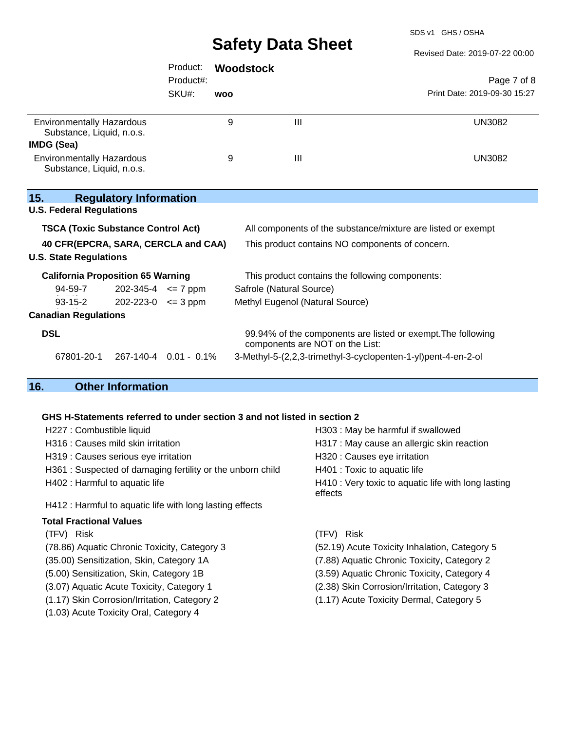SDS v1 GHS / OSHA

Revised Date: 2019-07-22 00:00

|                                                               | Product:                   | <b>Woodstock</b> |                                                                                                 |                              |  |
|---------------------------------------------------------------|----------------------------|------------------|-------------------------------------------------------------------------------------------------|------------------------------|--|
|                                                               | Product#:                  |                  |                                                                                                 | Page 7 of 8                  |  |
|                                                               | SKU#:                      | <b>WOO</b>       |                                                                                                 | Print Date: 2019-09-30 15:27 |  |
| <b>Environmentally Hazardous</b><br>Substance, Liquid, n.o.s. |                            | 9                | III                                                                                             | <b>UN3082</b>                |  |
| <b>IMDG (Sea)</b>                                             |                            |                  |                                                                                                 |                              |  |
| <b>Environmentally Hazardous</b><br>Substance, Liquid, n.o.s. |                            | 9                | $\mathbf{III}$                                                                                  | <b>UN3082</b>                |  |
| 15.<br><b>Regulatory Information</b>                          |                            |                  |                                                                                                 |                              |  |
| <b>U.S. Federal Regulations</b>                               |                            |                  |                                                                                                 |                              |  |
| <b>TSCA (Toxic Substance Control Act)</b>                     |                            |                  | All components of the substance/mixture are listed or exempt                                    |                              |  |
| 40 CFR(EPCRA, SARA, CERCLA and CAA)                           |                            |                  | This product contains NO components of concern.                                                 |                              |  |
| <b>U.S. State Regulations</b>                                 |                            |                  |                                                                                                 |                              |  |
| <b>California Proposition 65 Warning</b>                      |                            |                  | This product contains the following components:                                                 |                              |  |
| 94-59-7                                                       | $202 - 345 - 4 \leq 7$ ppm |                  | Safrole (Natural Source)                                                                        |                              |  |
| $93 - 15 - 2$                                                 | $202 - 223 - 0 \leq 3$ ppm |                  | Methyl Eugenol (Natural Source)                                                                 |                              |  |
| <b>Canadian Regulations</b>                                   |                            |                  |                                                                                                 |                              |  |
| <b>DSL</b>                                                    |                            |                  | 99.94% of the components are listed or exempt. The following<br>components are NOT on the List: |                              |  |
| 67801-20-1                                                    | 267-140-4 0.01 - 0.1%      |                  | 3-Methyl-5-(2,2,3-trimethyl-3-cyclopenten-1-yl)pent-4-en-2-ol                                   |                              |  |
| 16.<br><b>Other Information</b>                               |                            |                  |                                                                                                 |                              |  |

# **GHS H-Statements referred to under section 3 and not listed in section 2**

| H227 : Combustible liquid                                  | H303: May be harmful if swallowed                              |  |  |
|------------------------------------------------------------|----------------------------------------------------------------|--|--|
| H316 : Causes mild skin irritation                         | H317 : May cause an allergic skin reaction                     |  |  |
| H319 : Causes serious eye irritation                       | H320 : Causes eye irritation                                   |  |  |
| H361 : Suspected of damaging fertility or the unborn child | H401 : Toxic to aquatic life                                   |  |  |
| H402 : Harmful to aquatic life                             | H410 : Very toxic to aquatic life with long lasting<br>effects |  |  |
| H412 : Harmful to aquatic life with long lasting effects   |                                                                |  |  |
| <b>Total Fractional Values</b>                             |                                                                |  |  |
| (TFV) Risk                                                 | (TFV) Risk                                                     |  |  |
| (78.86) Aquatic Chronic Toxicity, Category 3               | (52.19) Acute Toxicity Inhalation, Category 5                  |  |  |
| (35.00) Sensitization, Skin, Category 1A                   | (7.88) Aquatic Chronic Toxicity, Category 2                    |  |  |
| (5.00) Sensitization, Skin, Category 1B                    | (3.59) Aquatic Chronic Toxicity, Category 4                    |  |  |
| (3.07) Aquatic Acute Toxicity, Category 1                  | (2.38) Skin Corrosion/Irritation, Category 3                   |  |  |
| (1.17) Skin Corrosion/Irritation, Category 2               | (1.17) Acute Toxicity Dermal, Category 5                       |  |  |
| (1.03) Acute Toxicity Oral, Category 4                     |                                                                |  |  |